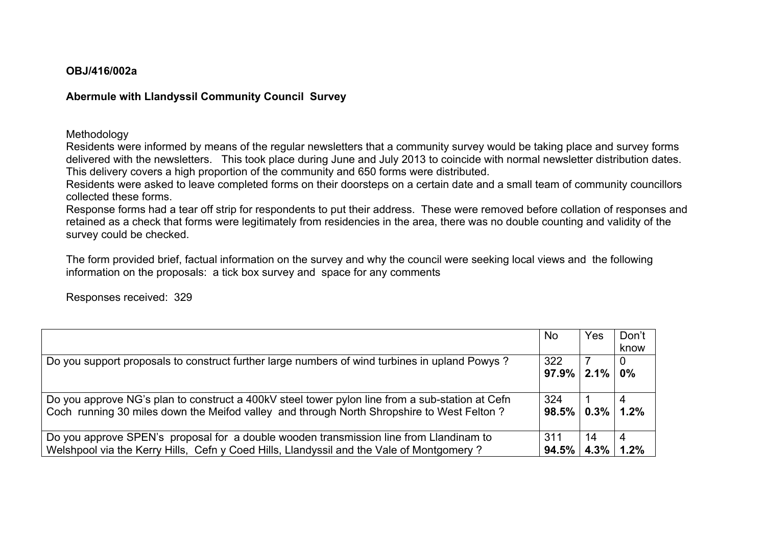## **OBJ/416/002a**

## **Abermule with Llandyssil Community Council Survey**

Methodology

Residents were informed by means of the regular newsletters that a community survey would be taking place and survey forms delivered with the newsletters. This took place during June and July 2013 to coincide with normal newsletter distribution dates. This delivery covers a high proportion of the community and 650 forms were distributed.

Residents were asked to leave completed forms on their doorsteps on a certain date and a small team of community councillors collected these forms.

Response forms had a tear off strip for respondents to put their address. These were removed before collation of responses and retained as a check that forms were legitimately from residencies in the area, there was no double counting and validity of the survey could be checked.

The form provided brief, factual information on the survey and why the council were seeking local views and the following information on the proposals: a tick box survey and space for any comments

Responses received: 329

|                                                                                                 | <b>No</b>                 | Yes | Don't |
|-------------------------------------------------------------------------------------------------|---------------------------|-----|-------|
|                                                                                                 |                           |     | know  |
| Do you support proposals to construct further large numbers of wind turbines in upland Powys?   | 322                       |     |       |
|                                                                                                 | $97.9\%$ 2.1% $\parallel$ |     | $0\%$ |
|                                                                                                 |                           |     |       |
| Do you approve NG's plan to construct a 400kV steel tower pylon line from a sub-station at Cefn | 324                       |     |       |
| Coch running 30 miles down the Meifod valley and through North Shropshire to West Felton?       | $98.5\%$   $0.3\%$        |     | 1.2%  |
|                                                                                                 |                           |     |       |
| Do you approve SPEN's proposal for a double wooden transmission line from Llandinam to          | 311                       | 14  |       |
| Welshpool via the Kerry Hills, Cefn y Coed Hills, Llandyssil and the Vale of Montgomery?        | $94.5\%$   $4.3\%$        |     | 1.2%  |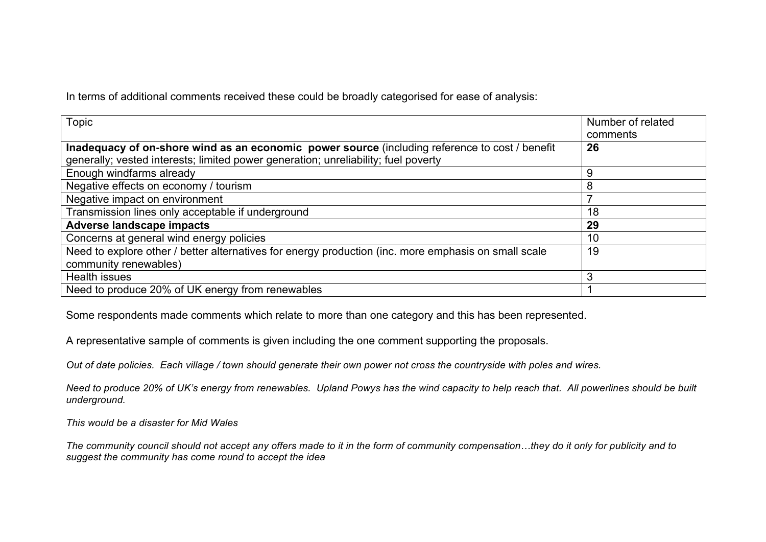In terms of additional comments received these could be broadly categorised for ease of analysis:

| Topic                                                                                                | Number of related |
|------------------------------------------------------------------------------------------------------|-------------------|
|                                                                                                      | comments          |
| Inadequacy of on-shore wind as an economic power source (including reference to cost / benefit       | 26                |
| generally; vested interests; limited power generation; unreliability; fuel poverty                   |                   |
| Enough windfarms already                                                                             | 9                 |
| Negative effects on economy / tourism                                                                | 8                 |
| Negative impact on environment                                                                       |                   |
| Transmission lines only acceptable if underground                                                    | 18                |
| <b>Adverse landscape impacts</b>                                                                     | 29                |
| Concerns at general wind energy policies                                                             | 10                |
| Need to explore other / better alternatives for energy production (inc. more emphasis on small scale | 19                |
| community renewables)                                                                                |                   |
| Health issues                                                                                        | З                 |
| Need to produce 20% of UK energy from renewables                                                     |                   |

Some respondents made comments which relate to more than one category and this has been represented.

A representative sample of comments is given including the one comment supporting the proposals.

*Out of date policies. Each village / town should generate their own power not cross the countryside with poles and wires.*

*Need to produce 20% of UK's energy from renewables. Upland Powys has the wind capacity to help reach that. All powerlines should be built underground.*

*This would be a disaster for Mid Wales*

*The community council should not accept any offers made to it in the form of community compensation…they do it only for publicity and to suggest the community has come round to accept the idea*